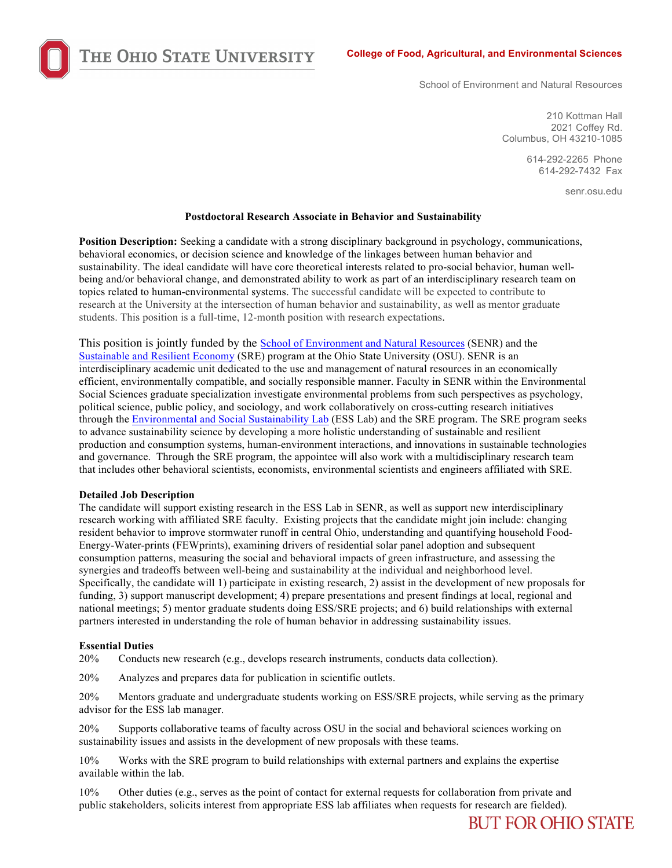THE OHIO STATE UNIVERSITY

School of Environment and Natural Resources

210 Kottman Hall 2021 Coffey Rd. Columbus, OH 43210-1085

> 614-292-2265 Phone 614-292-7432 Fax

> > senr.osu.edu

## **Postdoctoral Research Associate in Behavior and Sustainability**

**Position Description:** Seeking a candidate with a strong disciplinary background in psychology, communications, behavioral economics, or decision science and knowledge of the linkages between human behavior and sustainability. The ideal candidate will have core theoretical interests related to pro-social behavior, human wellbeing and/or behavioral change, and demonstrated ability to work as part of an interdisciplinary research team on topics related to human-environmental systems. The successful candidate will be expected to contribute to research at the University at the intersection of human behavior and sustainability, as well as mentor graduate students. This position is a full-time, 12-month position with research expectations.

This position is jointly funded by the School of Environment and Natural Resources (SENR) and the Sustainable and Resilient Economy (SRE) program at the Ohio State University (OSU). SENR is an interdisciplinary academic unit dedicated to the use and management of natural resources in an economically efficient, environmentally compatible, and socially responsible manner. Faculty in SENR within the Environmental Social Sciences graduate specialization investigate environmental problems from such perspectives as psychology, political science, public policy, and sociology, and work collaboratively on cross-cutting research initiatives through the Environmental and Social Sustainability Lab (ESS Lab) and the SRE program. The SRE program seeks to advance sustainability science by developing a more holistic understanding of sustainable and resilient production and consumption systems, human-environment interactions, and innovations in sustainable technologies and governance. Through the SRE program, the appointee will also work with a multidisciplinary research team that includes other behavioral scientists, economists, environmental scientists and engineers affiliated with SRE.

## **Detailed Job Description**

The candidate will support existing research in the ESS Lab in SENR, as well as support new interdisciplinary research working with affiliated SRE faculty. Existing projects that the candidate might join include: changing resident behavior to improve stormwater runoff in central Ohio, understanding and quantifying household Food-Energy-Water-prints (FEWprints), examining drivers of residential solar panel adoption and subsequent consumption patterns, measuring the social and behavioral impacts of green infrastructure, and assessing the synergies and tradeoffs between well-being and sustainability at the individual and neighborhood level. Specifically, the candidate will 1) participate in existing research, 2) assist in the development of new proposals for funding, 3) support manuscript development; 4) prepare presentations and present findings at local, regional and national meetings; 5) mentor graduate students doing ESS/SRE projects; and 6) build relationships with external partners interested in understanding the role of human behavior in addressing sustainability issues.

## **Essential Duties**

20% Conducts new research (e.g., develops research instruments, conducts data collection).

20% Analyzes and prepares data for publication in scientific outlets.

20% Mentors graduate and undergraduate students working on ESS/SRE projects, while serving as the primary advisor for the ESS lab manager.

20% Supports collaborative teams of faculty across OSU in the social and behavioral sciences working on sustainability issues and assists in the development of new proposals with these teams.

10% Works with the SRE program to build relationships with external partners and explains the expertise available within the lab.

10% Other duties (e.g., serves as the point of contact for external requests for collaboration from private and public stakeholders, solicits interest from appropriate ESS lab affiliates when requests for research are fielded).